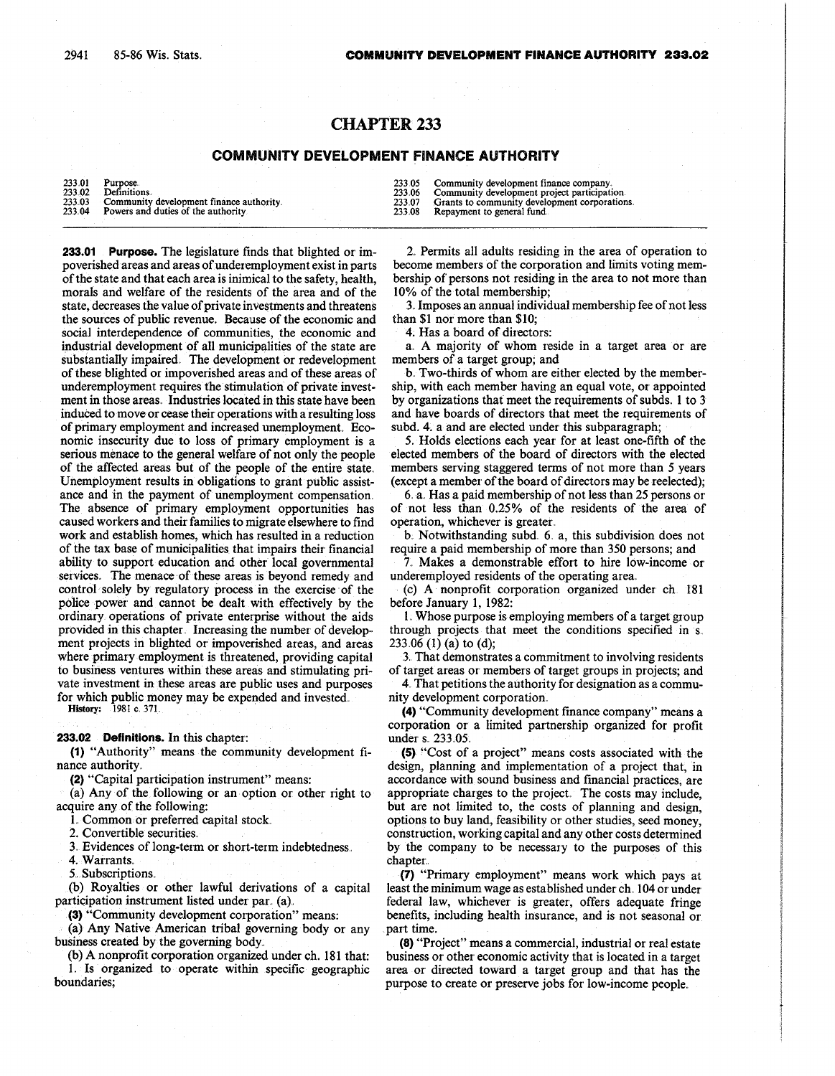## CHAPTER 233

## COMMUNITY DEVELOPMENT FINANCE AUTHORITY

|        | <b>COMMUNITY DEVELOPMENT FINANCE AUTHORITY</b> |        |                                               |
|--------|------------------------------------------------|--------|-----------------------------------------------|
| 233.01 | Purpose.                                       | 233.05 | Community development finance company.        |
| 233.02 | Definitions.                                   | 233.06 | Community development project participation.  |
| 233.03 | Community development finance authority        | 233.07 | Grants to community development corporations. |
| 233.04 | Powers and duties of the authority             | 233.08 | Repayment to general fund.                    |

233.01 Purpose. The legislature finds that blighted or impoverished areas and areas of underemployment exist in parts of the state and that each area is inimical to the safety, health, morals and welfare of the residents of the area and of the state, decreases the value of private investments and threatens the sources of' public revenue. Because of the economic and social interdependence of communities, the economic and industrial development of all municipalities of the state are substantially impaired. The development or redevelopment of these blighted or impoverished areas and of these areas of underemployment requires the stimulation of private investment in those areas. Industries located in this state have been induced to move or cease their operations with a resulting loss of primary employment and increased unemployment. Economic insecurity due to loss of primary employment is a serious menace to the general welfare of not only the people of the affected areas but of the people of the entire state .. Unemployment results in obligations to grant public assistance and in the payment of unemployment compensation. The absence of primary employment opportunities has caused workers and their families to migrate elsewhere to find work and establish homes, which has resulted in a reduction of the tax base of municipalities that impairs their financial ability to support education and other local governmental services.. The menace of these areas is beyond remedy and control solely by regulatory process in the exercise of the police power and cannot be dealt with effectively by the ordinary operations of private enterprise without the aids provided in this chapter Increasing the number of development projects in blighted or impoverished areas, and areas where primary employment is threatened, providing capital to business ventures within these areas and stimulating private investment in these areas are public uses and purposes for which public money may be expended and invested.

History: 1981 c. 371.

233:02 Definitions. In this chapter:

(1) "Authority" means the community development finance authority.

(2) "Capital participation instrument" means :

(a) Any of the following or an option or other right to acquire any of the following:

1. Common or preferred capital stock.

2. Convertible securities.

3 , Evidences of long-term or short-term indebtedness . .

4. Warrants,

5. Subscriptions.

(b) Royalties or other lawful derivations of a capital participation instrument listed under par. (a).

(3) "Community development corporation" means :

(a) Any Native American tribal governing body or any business created by the governing body..

(b) A nonprofit corporation organized under ch . 181 that: L Is organized to operate within specific geographic boundaries;

2 . Permits all adults residing in the area of operation to become members of the corporation and limits voting membership of persons not residing in the area to not more than 10% of the total membership;

3. Imposes an annual individual membership fee of not less than \$1 nor more than \$10;

4 . Has a board of directors:

a . A majority of whom reside in a target area or are members of a target group; and

b.: Two-thirds of whom are either elected by the membership, with each member having an equal vote, or appointed by organizations that meet the requirements of subds. 1 to 3 and have boards of directors that meet the requirements of subd. 4. a and are elected under this subparagraph;

5 . Holds elections each year for at least one-fifth of the elected members of the board of directors with the elected members serving staggered terms of not more than 5 years (except a member of the board of directors may be reelected) ;

6 . a . Has a paid membership of not less than 25 persons or, of not less than 0.25% of the residents of the area of operation, whichever is greater.

b. Notwithstanding subd. 6. a, this subdivision does not require a paid membership of more than 350 persons; and

7. Makes a demonstrable effort to hire low-income or underemployed residents of the operating area.

(c) A nonprofit corporation organized under ch 181 before January 1, 1982:

1. Whose purpose is employing members of a target group through projects that meet the conditions specified in s. 233.06 (1) (a) to (d);

3. That demonstrates a commitment to involving residents of target areas or members of target groups in projects; and

4. That petitions the authority for designation as a community development corporation ..

(4) " Community development finance company" means a corporation or a limited partnership organized for profit under s. 233.05.

(5) "Cost of a project" means costs associated with the design, planning and implementation of a project that, in accordance with sound business and financial practices, are appropriate charges to the project. The costs may include, but are not limited to, the costs of planning and design, options to buy land, feasibility or other studies, seed money, construction, working capital and any other costs determined by the company to be necessary to the purposes of this chapter..

 $(7)$  "Primary employment" means work which pays at least the minimum wage as established under ch . 104 or under federal law, whichever is greater, offers adequate fringe benefits, including health insurance, and is not seasonal or, part time.

(8) "Project" means a commercial , industrial or real estate business or other economic activity that is located in a target area or directed toward a target group and that has the purpose to create or preserve jobs for low-income people.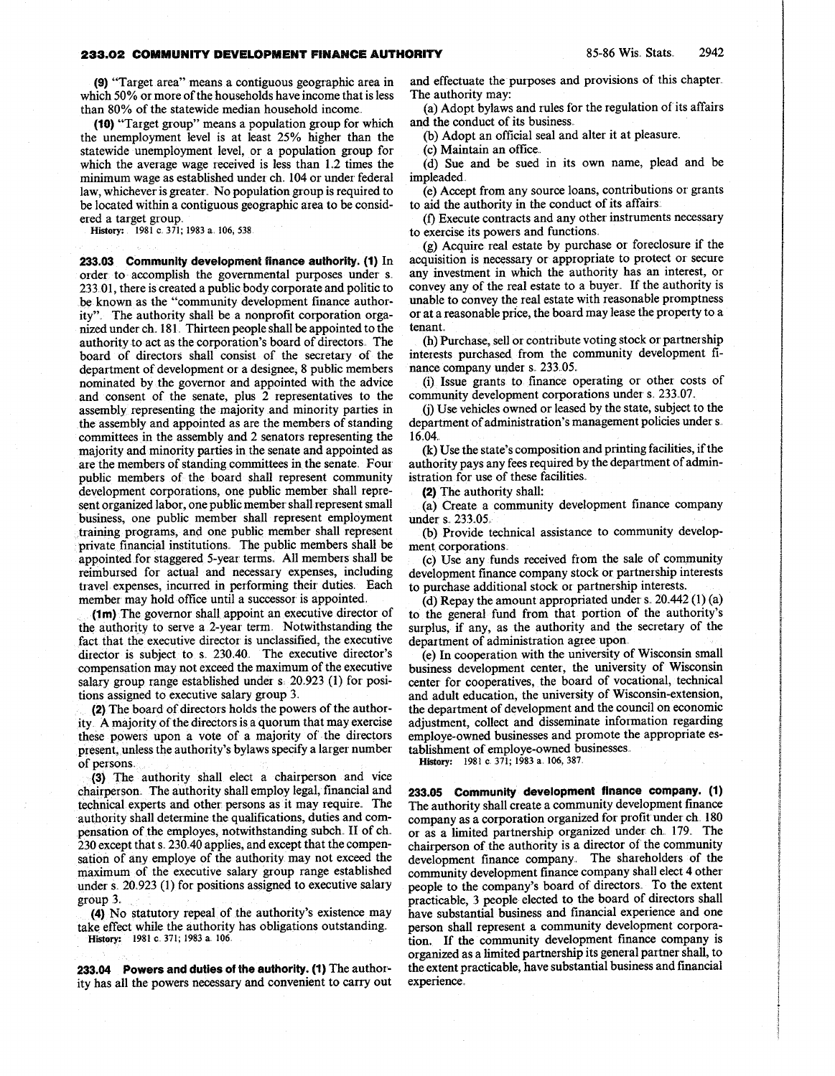## **233.02 COMMUNITY DEVELOPMENT FINANCE AUTHORITY 85-86 Wis. Stats.** 2942

(9) "Target area" means a contiguous geographic area in which 50% or more of the households have income that is less than 80% of the statewide median household income. .

(10) "Target group" means a population group for, which the unemployment level is at least 25% higher than the statewide unemployment level, or a population group for which the average wage received is less than 1.2 times the minimum wage as established under ch. 104 or under federal law, whichever is greater. No population group is required to be located within a contiguous geographic area to be considered a target group.

History: 1981 c. 371; 1983 a. 106, 538

233.03 Community development finance authority.  $(1)$  In order to accomplish the governmental purposes under s. 233 01 , there is created a public body corporate and politic to be known as the "community development finance authority" . The authority shall be a nonprofit corporation organized under ch. 181. Thirteen people shall be appointed to the authority to act as the corporation's board of directors. The board of directors shall consist of the secretary of the department of development or a designee, 8 public members nominated by the governor and appointed with the advice and consent of the senate, plus 2 representatives to the assembly representing the majority and minority parties in the assembly and appointed as are the members of standing committees in the assembly and 2 senators representing the majority and minority parties in the senate and appointed as are the members of standing committees in the senate. Four public members of the board shall represent community development corporations, one public member shall represent organized labor, one public member shall represent small business, one public member shall represent employment training programs, and one public member shall represent private financial institutions. The public members shall be appointed for staggered 5-year terms . All members shall be reimbursed for- actual and necessary expenses, including travel expenses, incurred in performing their duties . Each member may hold office until a successor is appointed.

(1m) The governor shall appoint an executive director of the authority to serve a 2-year term . Notwithstanding the fact that the executive director is unclassified, the executive director is subject to s. 230.40. The executive director's compensation may not exceed the maximum of the executive salary group range established under  $s$   $20.923$  (1) for positions assigned to executive salary group 3.

(2) The board of directors holds the powers of the authority A majority of the directors is a quorum that may exercise these powers upon a vote of a majority of the directors present, unless the authority's bylaws specify a larger number of persons

(3) The authority shall elect a chairperson and vice chairperson. The authority shall employ legal, financial and technical experts and other persons as it may require. The authority shall determine the qualifications, duties and compensation of the employes, notwithstanding subch. II of ch. 230 except that s. 230.40 applies, and except that the compensation of any employe of the authority may not exceed the maximum of the executive salary group range established under s.  $20.923$  (1) for positions assigned to executive salary group  $3$ .

(4) No statutory repeal of the authority's existence may take effect while the authority has obligations outstanding. History: 1981 c. 371; 1983 a. 106.

233.04 Powers and duties of the authority . (1) The authority has all the powers necessary and convenient to carry out and effectuate the purposes and provisions of this chapter. The authority may:

(a) Adopt bylaws and rules for the regulation of its affairs and the conduct of its business..

(b) Adopt an official seal and alter it at pleasure.

(c) Maintain an office .

(d) Sue and be sued in its own name, plead and be impleaded .

(e) Accept from any source loans, contributions or grants to aid the authority in the conduct of its affairs :.

(f) Execute contracts and any other instruments necessary to exercise its powers and functions .

(g) Acquire real estate by purchase or foreclosure if the acquisition is necessary or appropriate to protect or secure any investment in which the authority has an interest, or convey any of the real estate to a buyer. If the authority is unable to convey the real estate with reasonable promptness or, at a reasonable price, the board may lease the property to a tenant..

(h) Purchase, sell or contribute voting stock or partnership interests purchased from the community development finance company under s. 233.05.

(i) Issue grants to finance operating or other costs of community development corporations under s. 233.07.

(j) Use vehicles owned or leased by the state, subject to the department of administration's management policies under s. 16.04.

(k) Use the state's composition and printing facilities, if the authority pays any fees required by the department of administration for use of these facilities .

(2) The authority shall:

(a) Create a community development finance company under s.. 233. 05

(b) Provide technical assistance to community development corporations:

(c) Use any funds received from the sale of community development finance company stock or partnership interests to purchase additional stock or partnership interests .

(d) Repay the amount appropriated under s.  $20.442(1)(a)$ to the general fund from that portion of the authority's surplus, if any, as the authority and the secretary of the department of administration agree upon.

(e) In cooperation with the university of Wisconsin small business development center, the university of Wisconsin center for cooperatives, the board of vocational, technical and adult education, the university of Wisconsin-extension, the department of development and the council on economic adjustment, collect and disseminate information regarding employe-owned businesses and promote the appropriate establishment of employe-owned businesses .

History: 1981 c. 371; 1983 a. 106, 387.

233. 05 Community development finance company. (1) The authority shall create a community development finance company as a corporation organized for profit under ch. 180 or as a limited partnership organized under ch. 179. The chairperson of the authority is a director of the community development finance company. The shareholders of the community development finance company shall elect 4 other people to the company's board of directors . To the extent practicable, 3 people elected to the board of directors shall have substantial business and financial experience and one person shall represent a community development corporation. If the community development finance company is organized as a limited partnership its general partner shall, to the extent practicable, have substantial business and financial experience,